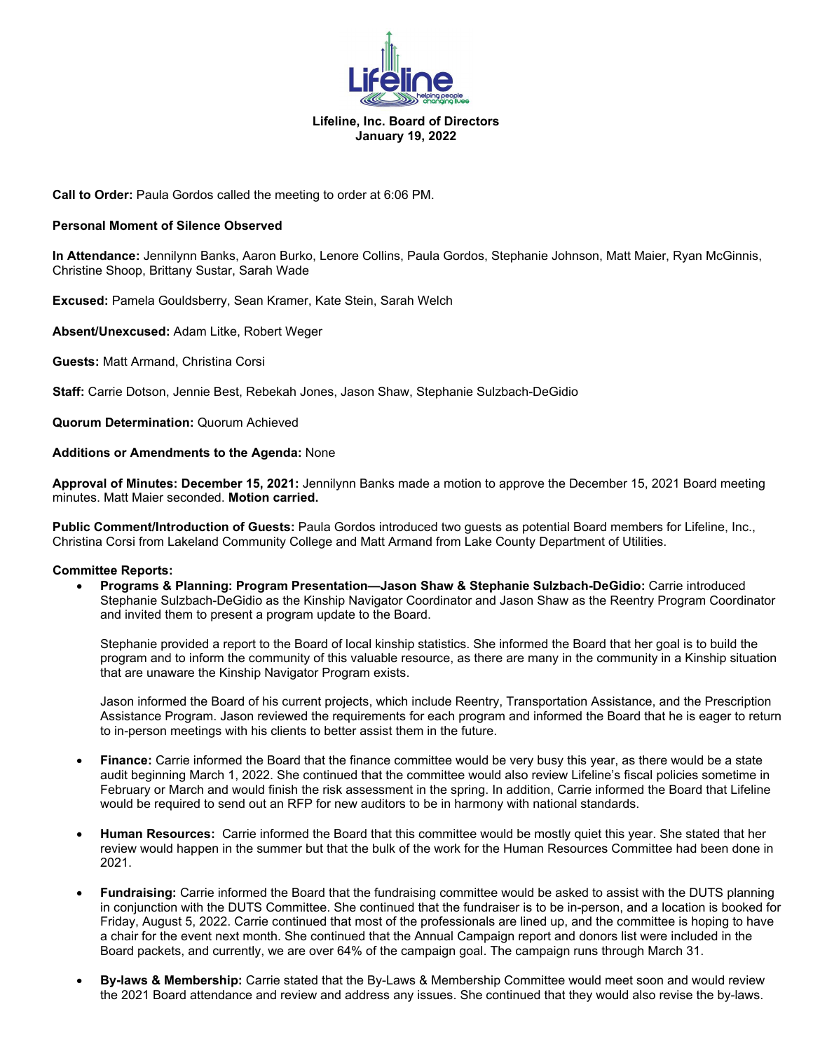

## **Lifeline, Inc. Board of Directors January 19, 2022**

**Call to Order:** Paula Gordos called the meeting to order at 6:06 PM.

#### **Personal Moment of Silence Observed**

**In Attendance:** Jennilynn Banks, Aaron Burko, Lenore Collins, Paula Gordos, Stephanie Johnson, Matt Maier, Ryan McGinnis, Christine Shoop, Brittany Sustar, Sarah Wade

**Excused:** Pamela Gouldsberry, Sean Kramer, Kate Stein, Sarah Welch

**Absent/Unexcused:** Adam Litke, Robert Weger

**Guests:** Matt Armand, Christina Corsi

**Staff:** Carrie Dotson, Jennie Best, Rebekah Jones, Jason Shaw, Stephanie Sulzbach-DeGidio

**Quorum Determination:** Quorum Achieved

**Additions or Amendments to the Agenda:** None

**Approval of Minutes: December 15, 2021:** Jennilynn Banks made a motion to approve the December 15, 2021 Board meeting minutes. Matt Maier seconded. **Motion carried.**

**Public Comment/Introduction of Guests:** Paula Gordos introduced two guests as potential Board members for Lifeline, Inc., Christina Corsi from Lakeland Community College and Matt Armand from Lake County Department of Utilities.

#### **Committee Reports:**

• **Programs & Planning: Program Presentation—Jason Shaw & Stephanie Sulzbach-DeGidio:** Carrie introduced Stephanie Sulzbach-DeGidio as the Kinship Navigator Coordinator and Jason Shaw as the Reentry Program Coordinator and invited them to present a program update to the Board.

Stephanie provided a report to the Board of local kinship statistics. She informed the Board that her goal is to build the program and to inform the community of this valuable resource, as there are many in the community in a Kinship situation that are unaware the Kinship Navigator Program exists.

Jason informed the Board of his current projects, which include Reentry, Transportation Assistance, and the Prescription Assistance Program. Jason reviewed the requirements for each program and informed the Board that he is eager to return to in-person meetings with his clients to better assist them in the future.

- **Finance:** Carrie informed the Board that the finance committee would be very busy this year, as there would be a state audit beginning March 1, 2022. She continued that the committee would also review Lifeline's fiscal policies sometime in February or March and would finish the risk assessment in the spring. In addition, Carrie informed the Board that Lifeline would be required to send out an RFP for new auditors to be in harmony with national standards.
- **Human Resources:** Carrie informed the Board that this committee would be mostly quiet this year. She stated that her review would happen in the summer but that the bulk of the work for the Human Resources Committee had been done in 2021.
- **Fundraising:** Carrie informed the Board that the fundraising committee would be asked to assist with the DUTS planning in conjunction with the DUTS Committee. She continued that the fundraiser is to be in-person, and a location is booked for Friday, August 5, 2022. Carrie continued that most of the professionals are lined up, and the committee is hoping to have a chair for the event next month. She continued that the Annual Campaign report and donors list were included in the Board packets, and currently, we are over 64% of the campaign goal. The campaign runs through March 31.
- **By-laws & Membership:** Carrie stated that the By-Laws & Membership Committee would meet soon and would review the 2021 Board attendance and review and address any issues. She continued that they would also revise the by-laws.